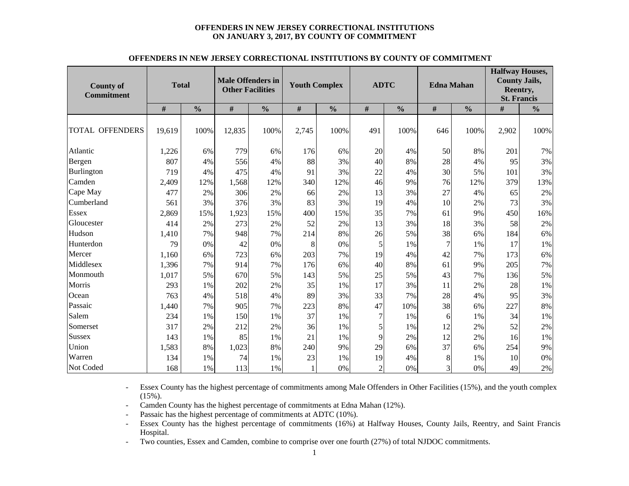#### **OFFENDERS IN NEW JERSEY CORRECTIONAL INSTITUTIONS ON JANUARY 3, 2017, BY COUNTY OF COMMITMENT**

| <b>County of</b><br><b>Commitment</b> | <b>Total</b> |               | <b>Male Offenders in</b><br><b>Other Facilities</b> |               | <b>Youth Complex</b> |               | <b>ADTC</b>    |               | <b>Edna Mahan</b> |               | <b>Halfway Houses,</b><br><b>County Jails,</b><br>Reentry,<br><b>St. Francis</b> |               |  |
|---------------------------------------|--------------|---------------|-----------------------------------------------------|---------------|----------------------|---------------|----------------|---------------|-------------------|---------------|----------------------------------------------------------------------------------|---------------|--|
|                                       | #            | $\frac{0}{0}$ | #                                                   | $\frac{0}{0}$ | #                    | $\frac{0}{0}$ | $\#$           | $\frac{0}{0}$ | $\#$              | $\frac{0}{0}$ | #                                                                                | $\frac{6}{6}$ |  |
| <b>TOTAL OFFENDERS</b>                | 19,619       | 100%          | 12,835                                              | 100%          | 2,745                | 100%          | 491            | 100%          | 646               | 100%          | 2,902                                                                            | 100%          |  |
| Atlantic                              | 1,226        | 6%            | 779                                                 | 6%            | 176                  | 6%            | 20             | 4%            | 50                | 8%            | 201                                                                              | 7%            |  |
| Bergen                                | 807          | 4%            | 556                                                 | 4%            | 88                   | 3%            | 40             | 8%            | 28                | 4%            | 95                                                                               | 3%            |  |
| Burlington                            | 719          | 4%            | 475                                                 | 4%            | 91                   | 3%            | 22             | 4%            | 30                | 5%            | 101                                                                              | 3%            |  |
| Camden                                | 2,409        | 12%           | 1,568                                               | 12%           | 340                  | 12%           | 46             | 9%            | 76                | 12%           | 379                                                                              | 13%           |  |
| Cape May                              | 477          | 2%            | 306                                                 | 2%            | 66                   | 2%            | 13             | 3%            | 27                | 4%            | 65                                                                               | 2%            |  |
| Cumberland                            | 561          | 3%            | 376                                                 | 3%            | 83                   | 3%            | 19             | 4%            | 10                | 2%            | 73                                                                               | 3%            |  |
| <b>Essex</b>                          | 2,869        | 15%           | 1,923                                               | 15%           | 400                  | 15%           | 35             | 7%            | 61                | 9%            | 450                                                                              | 16%           |  |
| Gloucester                            | 414          | 2%            | 273                                                 | 2%            | 52                   | 2%            | 13             | 3%            | 18                | 3%            | 58                                                                               | 2%            |  |
| Hudson                                | 1,410        | 7%            | 948                                                 | 7%            | 214                  | 8%            | 26             | 5%            | 38                | 6%            | 184                                                                              | 6%            |  |
| Hunterdon                             | 79           | 0%            | 42                                                  | 0%            | 8                    | 0%            | 5              | 1%            | 7                 | 1%            | 17                                                                               | 1%            |  |
| Mercer                                | 1,160        | 6%            | 723                                                 | 6%            | 203                  | 7%            | 19             | 4%            | 42                | 7%            | 173                                                                              | 6%            |  |
| Middlesex                             | 1,396        | 7%            | 914                                                 | 7%            | 176                  | 6%            | 40             | 8%            | 61                | 9%            | 205                                                                              | 7%            |  |
| Monmouth                              | 1,017        | 5%            | 670                                                 | 5%            | 143                  | 5%            | 25             | 5%            | 43                | 7%            | 136                                                                              | 5%            |  |
| Morris                                | 293          | 1%            | 202                                                 | 2%            | 35                   | 1%            | 17             | 3%            | 11                | 2%            | 28                                                                               | 1%            |  |
| Ocean                                 | 763          | 4%            | 518                                                 | 4%            | 89                   | 3%            | 33             | 7%            | 28                | 4%            | 95                                                                               | 3%            |  |
| Passaic                               | 1,440        | 7%            | 905                                                 | 7%            | 223                  | 8%            | 47             | 10%           | 38                | 6%            | 227                                                                              | 8%            |  |
| Salem                                 | 234          | 1%            | 150                                                 | 1%            | 37                   | 1%            | 7              | $1\%$         | 6                 | 1%            | 34                                                                               | 1%            |  |
| Somerset                              | 317          | 2%            | 212                                                 | 2%            | 36                   | 1%            | 5              | 1%            | 12                | 2%            | 52                                                                               | 2%            |  |
| Sussex                                | 143          | 1%            | 85                                                  | 1%            | 21                   | 1%            | 9              | 2%            | 12                | 2%            | 16                                                                               | 1%            |  |
| Union                                 | 1,583        | 8%            | 1,023                                               | 8%            | 240                  | 9%            | 29             | 6%            | 37                | 6%            | 254                                                                              | 9%            |  |
| Warren                                | 134          | 1%            | 74                                                  | 1%            | 23                   | 1%            | 19             | 4%            | 8                 | 1%            | 10                                                                               | 0%            |  |
| Not Coded                             | 168          | 1%            | 113                                                 | 1%            | $\mathbf{1}$         | 0%            | $\overline{2}$ | 0%            | 3                 | 0%            | 49                                                                               | 2%            |  |

#### **OFFENDERS IN NEW JERSEY CORRECTIONAL INSTITUTIONS BY COUNTY OF COMMITMENT**

- Essex County has the highest percentage of commitments among Male Offenders in Other Facilities (15%), and the youth complex  $(15\%)$ .

- -Camden County has the highest percentage of commitments at Edna Mahan (12%).
- Passaic has the highest percentage of commitments at ADTC (10%).
- - Essex County has the highest percentage of commitments (16%) at Halfway Houses, County Jails, Reentry, and Saint Francis Hospital.
- -Two counties, Essex and Camden, combine to comprise over one fourth (27%) of total NJDOC commitments.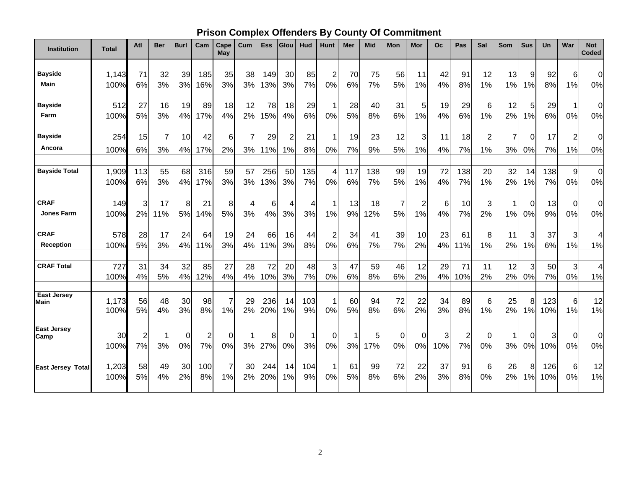# **Prison Complex Offenders By County Of Commitment**

| <b>Institution</b>               | <b>Total</b>  | Atl                     | <b>Ber</b> | <b>Burl</b> | Cam            | Cape<br><b>May</b> | Cum            | <b>Ess</b> | Glou     | Hud       | Hunt                 | <b>Mer</b> | <b>Mid</b> | Mon                  | Mor                           | Oc       | Pas            | Sal            | <b>Som</b> | <b>Sus</b>         | <b>Un</b>  | War            | <b>Not</b><br>Coded     |
|----------------------------------|---------------|-------------------------|------------|-------------|----------------|--------------------|----------------|------------|----------|-----------|----------------------|------------|------------|----------------------|-------------------------------|----------|----------------|----------------|------------|--------------------|------------|----------------|-------------------------|
| <b>Bayside</b>                   |               |                         |            |             |                |                    |                |            |          |           |                      |            |            |                      |                               |          |                |                |            |                    |            |                |                         |
| <b>Main</b>                      | 1,143<br>100% | 71<br>6%                | 32<br>3%   | 39<br>3%    | 185<br>16%     | 35<br>3%           | 38<br>3%       | 149<br>13% | 30<br>3% | 85<br>7%  | $\overline{2}$<br>0% | 70<br>6%   | 75<br>7%   | 56<br>5%             | 11<br>1%                      | 42<br>4% | 91<br>8%       | 12<br>1%       | 13<br>1%   | 9<br>1%            | 92<br>8%   | 6<br>1%        | $\mathbf 0$<br>0%       |
|                                  |               |                         |            |             |                |                    |                |            |          |           |                      |            |            |                      |                               |          |                |                |            |                    |            |                |                         |
| <b>Bayside</b>                   | 512           | 27                      | 16         | 19          | 89             | 18                 | 12             | 78         | 18       | 29        | 1                    | 28         | 40         | 31                   | 5                             | 19       | 29             | 6              | 12         | 5                  | 29         | 1              | 0                       |
| Farm                             | 100%          | 5%                      | 3%         | 4%          | 17%            | 4%                 | 2%             | 15%        | 4%       | 6%        | 0%                   | 5%         | 8%         | 6%                   | 1%                            | 4%       | 6%             | 1%             | 2%         | 1%                 | 6%         | 0%             | 0%                      |
|                                  |               |                         |            |             |                |                    |                |            |          |           |                      |            |            |                      |                               |          |                |                |            |                    |            |                |                         |
| <b>Bayside</b>                   | 254           | 15                      | 7          | 10          | 42             | 6                  | $\overline{7}$ | 29         | 2        | 21        |                      | 19         | 23         | 12                   | 3                             | 11       | 18             | $\overline{c}$ | 7          | 0                  | 17         | $\overline{2}$ | $\mathbf 0$             |
| Ancora                           | 100%          | 6%                      | 3%         | 4%          | 17%            | 2%                 | 3%             | 11%        | 1%       | 8%        | 0%                   | 7%         | 9%         | 5%                   | 1%                            | 4%       | 7%             | 1%             | 3%         | 0%                 | 7%         | 1%             | 0%                      |
|                                  |               |                         |            |             |                |                    |                |            |          |           |                      |            |            |                      |                               |          |                |                |            |                    |            |                |                         |
| <b>Bayside Total</b>             | 1,909         | 113                     | 55         | 68          | 316            | 59                 | 57             | 256        | 50       | 135       | 4                    | 117        | 138        | 99                   | 19                            | 72       | 138            | 20             | 32         | 14                 | 138        | $\overline{9}$ | $\mathbf 0$             |
|                                  | 100%          | 6%                      | 3%         | 4%          | 17%            | 3%                 | 3%             | 13%        | 3%       | 7%        | 0%                   | 6%         | 7%         | 5%                   | 1%                            | 4%       | 7%             | 1%             | 2%         | 1%                 | 7%         | 0%             | 0%                      |
|                                  |               |                         |            |             |                |                    |                |            |          |           |                      |            |            |                      |                               |          |                |                |            |                    |            |                |                         |
| <b>CRAF</b><br><b>Jones Farm</b> | 149           | 3                       | 17<br>11%  | 8           | 21             | 8                  | 4              | 6          | 4        | 4         | 1                    | 13         | 18         | $\overline{7}$<br>5% | $\overline{\mathbf{c}}$<br>1% | 6        | 10             | 3              | 1          | $\mathbf 0$<br>0%  | 13         | $\overline{0}$ | $\mathbf 0$             |
|                                  | 100%          | 2%                      |            | 5%          | 14%            | 5%                 | 3%             | 4%         | 3%       | 3%        | 1%                   | 9%         | 12%        |                      |                               | 4%       | 7%             | 2%             | 1%         |                    | 9%         | 0%             | 0%                      |
| <b>CRAF</b>                      | 578           | 28                      | 17         | 24          | 64             | 19                 | 24             | 66         | 16       | 44        | $\overline{c}$       | 34         | 41         | 39                   | 10                            | 23       | 61             | 8              | 11         | 3                  | 37         | 3              | 4                       |
| <b>Reception</b>                 | 100%          | 5%                      | 3%         | 4%          | 11%            | 3%                 | 4%             | 11%        | 3%       | 8%        | 0%                   | 6%         | 7%         | 7%                   | 2%                            | 4%       | 11%            | 1%             | 2%         | 1%                 | 6%         | 1%             | 1%                      |
|                                  |               |                         |            |             |                |                    |                |            |          |           |                      |            |            |                      |                               |          |                |                |            |                    |            |                |                         |
| <b>CRAF Total</b>                | 727           | 31                      | 34         | 32          | 85             | 27                 | 28             | 72         | 20       | 48        | 3                    | 47         | 59         | 46                   | 12                            | 29       | 71             | 11             | 12         | 3                  | 50         | 3              | $\overline{\mathbf{4}}$ |
|                                  | 100%          | 4%                      | 5%         | 4%          | 12%            | 4%                 | 4%             | 10%        | 3%       | 7%        | 0%                   | 6%         | 8%         | 6%                   | 2%                            | 4%       | 10%            | 2%             | 2%         | 0%                 | 7%         | $0\%$          | 1%                      |
| <b>East Jersey</b>               |               |                         |            |             |                |                    |                |            |          |           |                      |            |            |                      |                               |          |                |                |            |                    |            |                |                         |
| Main                             | 1,173         | 56                      | 48         | 30          | 98             | 7                  | 29             | 236        | 14       | 103       |                      | 60         | 94         | 72                   | 22                            | 34       | 89             | 6              | 25         | 8                  | 123        | 6              | 12                      |
|                                  | 100%          | 5%                      | 4%         | 3%          | 8%             | 1%                 | 2%             | 20%        | 1%       | 9%        | 0%                   | 5%         | 8%         | 6%                   | 2%                            | 3%       | 8%             | 1%             | 2%         | 1%                 | 10%        | 1%             | 1%                      |
| <b>East Jersey</b>               |               |                         |            |             |                |                    |                |            |          |           |                      |            |            |                      |                               |          |                |                |            |                    |            |                |                         |
| Camp                             | 30            | $\overline{\mathbf{c}}$ | 1          | 0           | $\overline{c}$ | $\Omega$           | 1              | 8          | $\Omega$ | 1         | 0                    | 1          | 5          | 0                    | 0                             | 3        | $\overline{2}$ | 0              |            | $\Omega$           | 3          | $\mathbf 0$    | $\mathbf 0$             |
|                                  | 100%          | 7%                      | 3%         | 0%          | 7%             | 0%                 | 3%             | 27%        | 0%       | 3%        | 0%                   | 3%         | 17%        | 0%                   | 0%                            | 10%      | 7%             | 0%             | 3%         | 0%                 | 10%        | 0%             | 0%                      |
|                                  |               |                         |            |             |                |                    |                |            |          |           |                      |            |            |                      |                               |          |                |                |            |                    |            |                |                         |
| <b>East Jersey Total</b>         | 1,203<br>100% | 58<br>5%                | 49<br>4%   | 30<br>2%    | 100<br>8%      | 7<br>1%            | 30<br>2%       | 244<br>20% | 14<br>1% | 104<br>9% | 0%                   | 61<br>5%   | 99<br>8%   | 72<br>6%             | 22<br>2%                      | 37<br>3% | 91<br>8%       | 6<br>0%        | 26<br>2%   | 8<br>$\frac{9}{6}$ | 126<br>10% | 6<br>0%        | 12<br>1%                |
|                                  |               |                         |            |             |                |                    |                |            |          |           |                      |            |            |                      |                               |          |                |                |            |                    |            |                |                         |
|                                  |               |                         |            |             |                |                    |                |            |          |           |                      |            |            |                      |                               |          |                |                |            |                    |            |                |                         |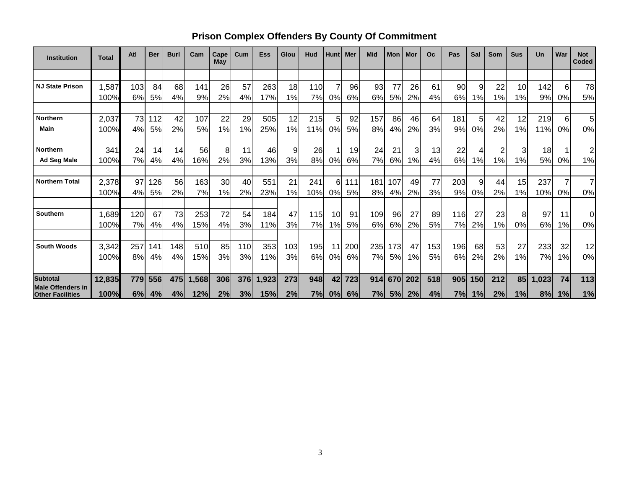# **Prison Complex Offenders By County Of Commitment**

| <b>Institution</b>                                  | <b>Total</b> | Atl | <b>Ber</b> | <b>Burl</b> | Cam   | Cape<br>May | Cum | <b>Ess</b> | Glou | Hud | <b>Hunt</b>    | Mer | <b>Mid</b> | <b>Mon</b> | Mor | O <sub>c</sub> | Pas | Sal | <b>Som</b> | <b>Sus</b> | Un    | War | <b>Not</b><br>Coded |
|-----------------------------------------------------|--------------|-----|------------|-------------|-------|-------------|-----|------------|------|-----|----------------|-----|------------|------------|-----|----------------|-----|-----|------------|------------|-------|-----|---------------------|
|                                                     |              |     |            |             |       |             |     |            |      |     |                |     |            |            |     |                |     |     |            |            |       |     |                     |
| <b>NJ State Prison</b>                              | 1,587        | 103 | 84         | 68          | 141   | 26          | 57  | 263        | 18   | 110 | $\overline{7}$ | 96  | 93         | 77         | 26  | 61             | 90  | 9   | 22         | 10         | 142   | 6   | 78                  |
|                                                     | 100%         | 6%  | 5%         | 4%          | 9%    | 2%          | 4%  | 17%        | 1%   | 7%  | 0%             | 6%  | 6%         | 5%         | 2%  | 4%             | 6%  | 1%  | 1%         | 1%         | 9%    | 0%  | 5%                  |
|                                                     |              |     |            |             |       |             |     |            |      |     |                |     |            |            |     |                |     |     |            |            |       |     |                     |
| <b>Northern</b>                                     | 2,037        | 73  | 112        | 42          | 107   | 22          | 29  | 505        | 12   | 215 | 5              | 92  | 157        | 86         | 46  | 64             | 181 | 5   | 42         | 12         | 219   | 6   | 5                   |
| <b>Main</b>                                         | 100%         | 4%  | 5%         | 2%          | 5%    | 1%          | 1%  | 25%        | 1%   | 11% | 0%             | 5%  | 8%         | 4%         | 2%  | 3%             | 9%  | 0%  | 2%         | 1%         | 11%   | 0%  | 0%                  |
| <b>Northern</b>                                     | 341          | 24  | 14         | 14          | 56    | 8           | 11  | 46         | 9    | 26  | 1              | 19  | 24         | 21         | 3   | 13             | 22  | 4   | 2          | 3          | 18    |     | 2                   |
| Ad Seg Male                                         | 100%         | 7%  | 4%         | 4%          | 16%   | 2%          | 3%  | 13%        | 3%   | 8%  | 0%             | 6%  | 7%         | 6%         | 1%  | 4%             | 6%  | 1%  | 1%         | 1%         | 5%    | 0%  | 1%                  |
| <b>Northern Total</b>                               | 2,378        | 97  | 126        | 56          | 163   | 30          | 40  | 551        | 21   | 241 | 6              | 111 | 181        | 107        | 49  | 77             | 203 | 9   | 44         | 15         | 237   |     | $\overline{7}$      |
|                                                     | 100%         | 4%  | 5%         | 2%          | 7%    | 1%          | 2%  | 23%        | 1%   | 10% | 0%             | 5%  | 8%         | 4%         | 2%  | 3%             | 9%  | 0%  | 2%         | 1%         | 10%   | 0%  | 0%                  |
|                                                     |              |     |            |             |       |             |     |            |      |     |                |     |            |            |     |                |     |     |            |            |       |     |                     |
| Southern                                            | 1,689        | 120 | 67         | 73          | 253   | 72          | 54  | 184        | 47   | 115 | 10             | 91  | 109        | 96         | 27  | 89             | 116 | 27  | 23         | 8          | 97    | 11  | $\mathbf 0$         |
|                                                     | 100%         | 7%  | 4%         | 4%          | 15%   | 4%          | 3%  | 11%        | 3%   | 7%  | 1%             | 5%  | 6%         | 6%         | 2%  | 5%             | 7%  | 2%  | 1%         | 0%         | 6%    | 1%  | 0%                  |
|                                                     |              |     |            |             |       |             |     |            |      |     |                |     |            |            |     |                |     |     |            |            |       |     |                     |
| <b>South Woods</b>                                  | 3,342        | 257 | 141        | 148         | 510   | 85          | 110 | 353        | 103  | 195 | 11             | 200 | 235        | 173        | 47  | 153            | 196 | 68  | 53         | 27         | 233   | 32  | 12                  |
|                                                     | 100%         | 8%  | 4%         | 4%          | 15%   | 3%          | 3%  | 11%        | 3%   | 6%  | 0%             | 6%  | 7%         | 5%         | 1%  | 5%             | 6%  | 2%  | 2%         | $1\%$      | 7%    | 1%  | 0%                  |
| <b>Subtotal</b>                                     | 12,835       | 779 | 556        | 475         | 1,568 | 306         | 376 | 1,923      | 273  | 948 | 42             | 723 | 914        | 670        | 202 | 518            | 905 | 150 | 212        | 85         | 1,023 | 74  | 113                 |
| <b>Male Offenders in</b><br><b>Other Facilities</b> | 100%         | 6%  | 4%         | 4%          | 12%   | 2%          | 3%  | 15%        | 2%   | 7%  | 0%             | 6%  | 7%         | 5%         | 2%  | 4%             | 7%  | 1%  | 2%         | 1%         | 8%    | 1%  | 1%                  |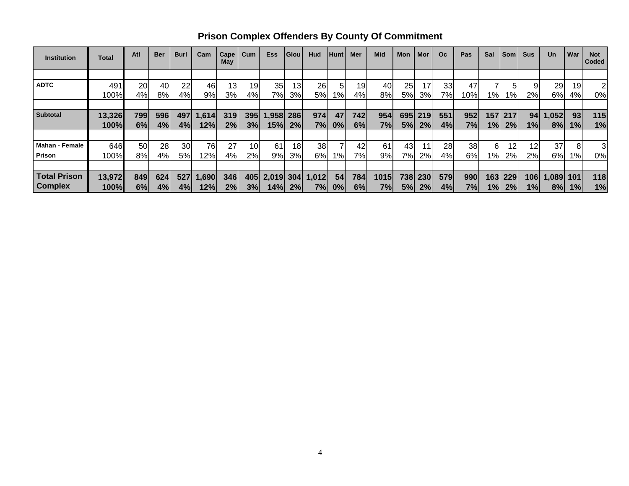| <b>Institution</b>    | Total  | Atl | <b>Ber</b> | <b>Burl</b> | Cam   | Cape<br>May | Cum             | <b>Ess</b> | <b>Glou</b> | Hud   | <b>Hunt</b>     | Mer | <b>Mid</b> | Mon | Mor | <b>Oc</b> | Pas | Sal        | <b>Som</b> | <b>Sus</b> | <b>Un</b> | War | <b>Not</b><br>Coded |
|-----------------------|--------|-----|------------|-------------|-------|-------------|-----------------|------------|-------------|-------|-----------------|-----|------------|-----|-----|-----------|-----|------------|------------|------------|-----------|-----|---------------------|
|                       |        |     |            |             |       |             |                 |            |             |       |                 |     |            |     |     |           |     |            |            |            |           |     |                     |
| <b>ADTC</b>           | 491    | 20  | 40         | 22          | 46    | 13          | 19              | 35         | 13          | 26    | 5               | 19  | 40         | 25  | 17  | 33        | 47  |            |            |            | 29        | 19  | 2                   |
|                       | 100%   | 4%  | 8%l        | 4%          | 9%    | 3%          | 4%              | 7%         | 3%          | 5%    | 1% <sub>I</sub> | 4%  | 8%         | 5%  | 3%  | 7%        | 10% | $1\%$      | $1\%$      | 2%         | 6%        | 4%  | 0%                  |
|                       |        |     |            |             |       |             |                 |            |             |       |                 |     |            |     |     |           |     |            |            |            |           |     |                     |
| <b>Subtotal</b>       | 13,326 | 799 | 596        | 497         | 1,614 | 319         | 395             | ,958       | 286         | 974   | 47              | 742 | 954        | 695 | 219 | 551       | 952 | <b>157</b> | 217        | 94         | 1,052     | 93  | 115                 |
|                       | 100%   | 6%  | 4%         | 4%          | 12%   | 2%          | 3%              | 15%        | 2%          | 7%    | 0%              | 6%  | 7%         | 5%  | 2%  | 4%        | 7%  | 1%         | 2%         | 1%         | 8%        | 1%  | 1%                  |
|                       |        |     |            |             |       |             |                 |            |             |       |                 |     |            |     |     |           |     |            |            |            |           |     |                     |
| <b>Mahan - Female</b> | 646    | 50  | 28         | 30          | 76    | 27          | 10 <sub>l</sub> | 61         | 18          | 38    |                 | 42  | 61         | 43  | 11  | 28        | 38  | 6          | 12         | 12         | 37        |     | 3                   |
| <b>Prison</b>         | 100%   | 8%  | 4%         | 5%          | 12%   | 4%          | $2\%$           | 9%         | 3%          | 6%    | 1%              | 7%  | 9%         | 7%  | 2%  | 4%        | 6%  | $1\%$      | 2%         | 2%         | 6%        | 1%  | 0%                  |
|                       |        |     |            |             |       |             |                 |            |             |       |                 |     |            |     |     |           |     |            |            |            |           |     |                     |
| <b>Total Prison</b>   | 13,972 | 849 | 624        | 527         | 1,690 | 346         | 405             | 2,019      | 304         | 1,012 | 54              | 784 | 1015       | 738 | 230 | 579       | 990 | 163        | 229        | 106        | 1,089     | 101 | 118                 |
| <b>Complex</b>        | 100%   | 6%  | 4%         | 4%          | 12%   | 2%          | 3%              | 14%l       | 2%          | 7%    | $ 0\% $         | 6%  | 7%         | 5%  | 2%  | 4%        | 7%  | 1%         | 2%         | 1%         | 8%        | 1%  | 1%                  |

**Prison Complex Offenders By County Of Commitment**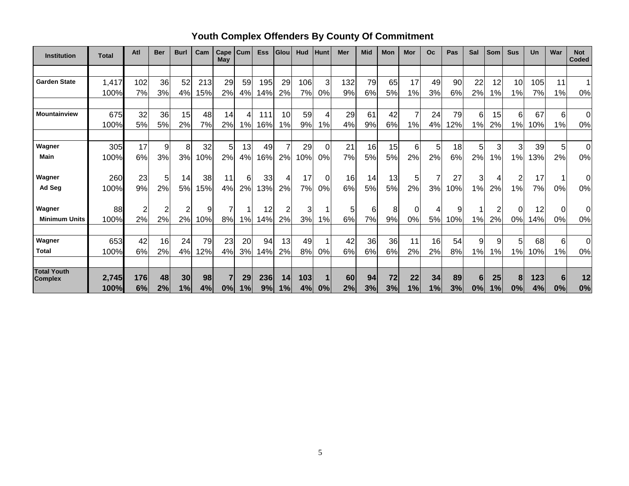| <b>Institution</b>                   | <b>Total</b> | Atl | <b>Ber</b>     | <b>Burl</b>    | Cam | Cape<br>May | Cum | <b>Ess</b> | Glou | Hud | Hunt           | Mer | <b>Mid</b> | Mon | Mor | <b>Oc</b> | Pas        | Sal | Som | <b>Sus</b>     | Un  | War            | <b>Not</b><br><b>Coded</b> |
|--------------------------------------|--------------|-----|----------------|----------------|-----|-------------|-----|------------|------|-----|----------------|-----|------------|-----|-----|-----------|------------|-----|-----|----------------|-----|----------------|----------------------------|
|                                      |              |     |                |                |     |             |     |            |      |     |                |     |            |     |     |           |            |     |     |                |     |                |                            |
| <b>Garden State</b>                  | 1,417        | 102 | 36             | 52             | 213 | 29          | 59  | 195        | 29   | 106 | 3              | 132 | 79         | 65  | 17  | 49        | 90         | 22  | 12  | 10             | 105 | 11             |                            |
|                                      | 100%         | 7%  | 3%             | 4%             | 15% | 2%          | 4%  | 14%        | 2%   | 7%  | 0%             | 9%  | 6%         | 5%  | 1%  | 3%        | 6%         | 2%  | 1%  | 1%             | 7%  | 1%             | 0%                         |
|                                      |              |     |                |                |     |             |     |            |      |     |                |     |            |     |     |           |            |     |     |                |     |                |                            |
| Mountainview                         | 675          | 32  | 36             | 15             | 48  | 14          |     | 111        | 10   | 59  | 4              | 29  | 61         | 42  |     | 24        | 79         | 6   | 15  | 6              | 67  | 6              | 0                          |
|                                      | 100%         | 5%  | 5%             | 2%             | 7%  | 2%          | 1%  | 16%        | 1%   | 9%  | 1%             | 4%  | 9%         | 6%  | 1%  | 4%        | <b>12%</b> | 1%  | 2%  | 1%             | 10% | 1%             | 0%                         |
|                                      |              |     |                |                |     |             |     |            |      |     |                |     |            |     |     |           |            |     |     |                |     |                |                            |
| Wagner                               | 305          | 17  | 9              | 8              | 32  | 5           | 13  | 49         | 7    | 29  | 0              | 21  | 16         | 15  | 6   | 5         | 18         | 5   | 3   | 3              | 39  | 5 <sub>l</sub> | 0                          |
| Main                                 | 100%         | 6%  | 3%             | 3%             | 10% | 2%          | 4%  | 16%        | 2%   | 10% | 0%             | 7%  | 5%         | 5%  | 2%  | 2%        | 6%         | 2%  | 1%  | 1%             | 13% | 2%             | 0%                         |
| Wagner                               | 260          | 23  | 5 <sub>l</sub> | 14             | 38  | 11          | 6   | 33         | 4    | 17  | $\overline{0}$ | 16  | 14         | 13  | 5   | 7         | 27         | 3   | 4   | $\overline{c}$ | 17  |                | 0                          |
| Ad Seg                               | 100%         | 9%  | 2%             | 5%             | 15% | 4%          | 2%  | 13%        | 2%   | 7%  | 0%             | 6%  | 5%         | 5%  | 2%  | 3%        | 10%        | 1%  | 2%  | 1%             | 7%  | 0%             | 0%                         |
|                                      |              |     |                |                |     |             |     |            |      |     |                |     |            |     |     |           |            |     |     |                |     |                |                            |
| Wagner                               | 88           | 2   | 2              | $\overline{2}$ | 9   | 7           |     | 12         | 2    | 3   |                | 5   | 6          | 8   |     | 4         | 9          |     |     | 0              | 12  | $\Omega$       | 0                          |
| <b>Minimum Units</b>                 | 100%         | 2%  | 2%             | 2%             | 10% | 8%          | 1%  | 14%        | 2%   | 3%  | 1%             | 6%  | 7%         | 9%  | 0%  | 5%        | 10%        | 1%  | 2%  | 0%             | 14% | 0%             | 0%                         |
|                                      |              |     |                |                |     |             |     |            |      |     |                |     |            |     |     |           |            |     |     |                |     |                |                            |
| Wagner                               | 653          | 42  | 16             | 24             | 79  | 23          | 20  | 94         | 13   | 49  |                | 42  | 36         | 36  | 11  | 16        | 54         | 9   | 9   | 5              | 68  | 6              | $\Omega$                   |
| <b>Total</b>                         | 100%         | 6%  | 2%             | 4%             | 12% | 4%          | 3%  | 14%        | 2%   | 8%  | 0%             | 6%  | 6%         | 6%  | 2%  | 2%        | 8%         | 1%  | 1%  | 1%             | 10% | 1%             | 0%                         |
|                                      |              |     |                |                |     |             |     |            |      |     |                |     |            |     |     |           |            |     |     |                |     |                |                            |
| <b>Total Youth</b><br><b>Complex</b> | 2,745        | 176 | 48             | 30             | 98  | 7           | 29  | 236        | 14   | 103 |                | 60  | 94         | 72  | 22  | 34        | 89         | 6   | 25  | 8              | 123 | 6              | 12                         |
|                                      | 100%         | 6%  | 2%             | 1%             | 4%  | 0%          | 1%  | 9%         | 1%   | 4%  | 0%             | 2%  | 3%         | 3%  | 1%  | 1%        | 3%         | 0%  | 1%  | 0%             | 4%  | 0%             | 0%                         |

**Youth Complex Offenders By County Of Commitment**